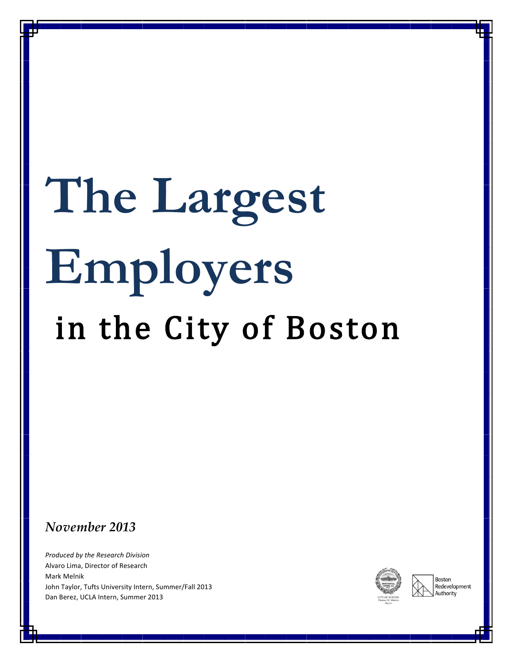# **The Largest Employers** in the City of Boston

#### *November 2013*

**Produced by the Research Division** Alvaro Lima, Director of Research Mark!Melnik John Taylor, Tufts University Intern, Summer/Fall 2013 Dan Berez, UCLA Intern, Summer 2013



Boston Redevelopment .<br>Authority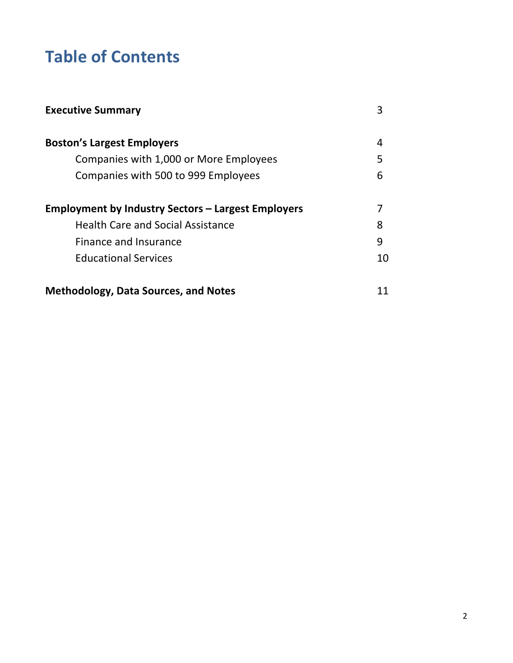## **Table of Contents**

| <b>Executive Summary</b>                                  |    |
|-----------------------------------------------------------|----|
| <b>Boston's Largest Employers</b>                         | 4  |
| Companies with 1,000 or More Employees                    | 5  |
| Companies with 500 to 999 Employees                       | 6  |
| <b>Employment by Industry Sectors - Largest Employers</b> |    |
| <b>Health Care and Social Assistance</b>                  | 8  |
| Finance and Insurance                                     | 9  |
| <b>Educational Services</b>                               | 10 |
| <b>Methodology, Data Sources, and Notes</b>               |    |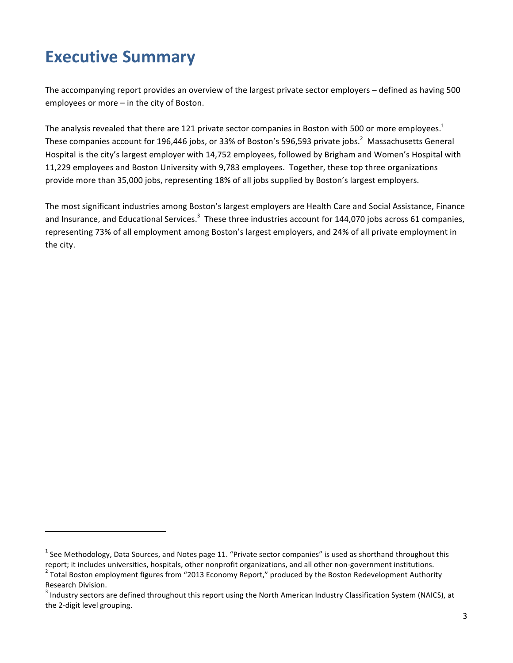## **Executive Summary**

!!!!!!!!!!!!!!!!!!!!!!!!!!!!!!!!!!!!!!!!!!!!!!!!!!!!!!!!!!!!

The accompanying report provides an overview of the largest private sector employers – defined as having 500 employees or more – in the city of Boston.

The analysis revealed that there are 121 private sector companies in Boston with 500 or more employees.<sup>1</sup> These companies account for 196,446 jobs, or 33% of Boston's 596,593 private jobs.<sup>2</sup> Massachusetts General Hospital is the city's largest employer with 14,752 employees, followed by Brigham and Women's Hospital with 11,229 employees and Boston University with 9,783 employees. Together, these top three organizations provide more than 35,000 jobs, representing 18% of all jobs supplied by Boston's largest employers.

The most significant industries among Boston's largest employers are Health Care and Social Assistance, Finance and Insurance, and Educational Services.<sup>3</sup> These three industries account for 144,070 jobs across 61 companies, representing 73% of all employment among Boston's largest employers, and 24% of all private employment in the city.

 $1$  See Methodology, Data Sources, and Notes page 11. "Private sector companies" is used as shorthand throughout this report; it includes universities, hospitals, other nonprofit organizations, and all other non-government institutions.<br><sup>2</sup> Total Boston employment figures from "2013 Economy Report," produced by the Boston Redevelopment Au

Research Division.

 $3$  Industry sectors are defined throughout this report using the North American Industry Classification System (NAICS), at the 2-digit level grouping.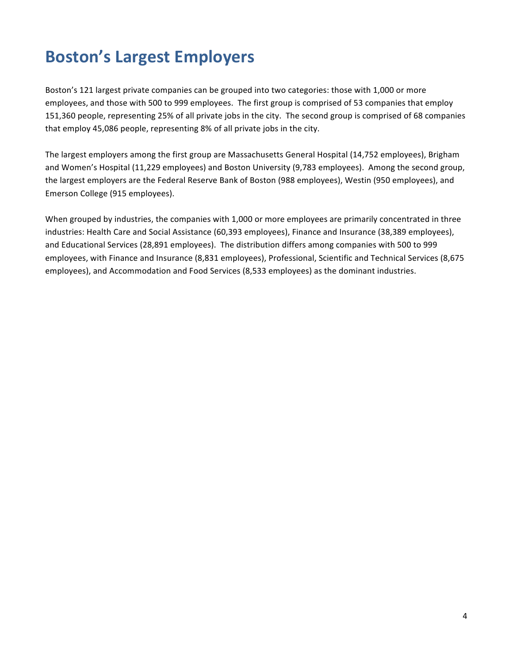## **Boston's!Largest!Employers**

Boston's 121 largest private companies can be grouped into two categories: those with 1,000 or more employees, and those with 500 to 999 employees. The first group is comprised of 53 companies that employ 151,360 people, representing 25% of all private jobs in the city. The second group is comprised of 68 companies that employ 45,086 people, representing 8% of all private jobs in the city.

The largest employers among the first group are Massachusetts General Hospital (14,752 employees), Brigham and Women's Hospital (11,229 employees) and Boston University (9,783 employees). Among the second group, the largest employers are the Federal Reserve Bank of Boston (988 employees), Westin (950 employees), and Emerson College (915 employees).

When grouped by industries, the companies with 1,000 or more employees are primarily concentrated in three industries: Health Care and Social Assistance (60,393 employees), Finance and Insurance (38,389 employees), and Educational Services (28,891 employees). The distribution differs among companies with 500 to 999 employees, with Finance and Insurance (8,831 employees), Professional, Scientific and Technical Services (8,675 employees), and Accommodation and Food Services (8,533 employees) as the dominant industries.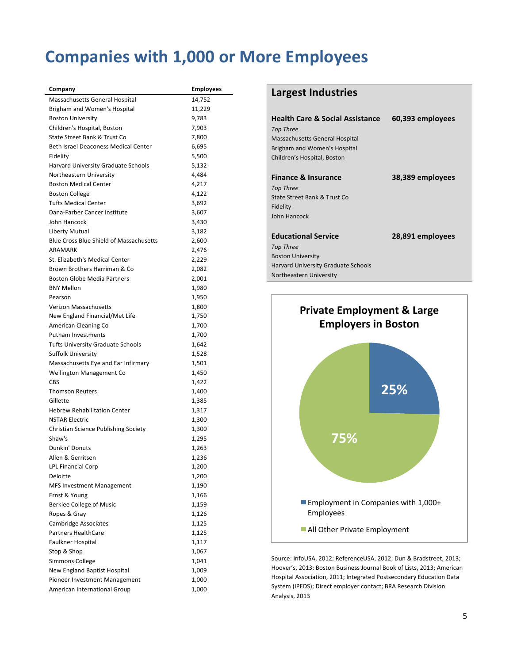#### **Companies with 1,000 or More Employees**

| Company                                                       | <b>Employees</b> |
|---------------------------------------------------------------|------------------|
| Massachusetts General Hospital                                | 14,752           |
| Brigham and Women's Hospital                                  | 11,229           |
| <b>Boston University</b>                                      | 9,783            |
| Children's Hospital, Boston                                   | 7,903            |
| State Street Bank & Trust Co                                  | 7,800            |
| Beth Israel Deaconess Medical Center                          | 6,695            |
| Fidelity                                                      | 5,500            |
| Harvard University Graduate Schools                           | 5,132            |
| Northeastern University                                       | 4,484            |
| <b>Boston Medical Center</b>                                  | 4,217            |
| <b>Boston College</b>                                         | 4,122            |
| <b>Tufts Medical Center</b>                                   | 3,692            |
| Dana-Farber Cancer Institute                                  | 3,607            |
| John Hancock                                                  | 3,430            |
| Liberty Mutual                                                | 3,182            |
| <b>Blue Cross Blue Shield of Massachusetts</b>                | 2,600            |
| ARAMARK                                                       | 2,476            |
| St. Elizabeth's Medical Center                                | 2,229            |
| Brown Brothers Harriman & Co                                  | 2,082            |
| <b>Boston Globe Media Partners</b>                            | 2,001            |
| <b>BNY Mellon</b>                                             | 1,980            |
| Pearson                                                       | 1,950            |
| Verizon Massachusetts                                         | 1,800            |
| New England Financial/Met Life                                | 1,750            |
| American Cleaning Co                                          | 1,700            |
| <b>Putnam Investments</b>                                     | 1,700            |
| <b>Tufts University Graduate Schools</b>                      | 1,642            |
| <b>Suffolk University</b>                                     | 1,528            |
| Massachusetts Eye and Ear Infirmary                           | 1,501            |
| Wellington Management Co                                      | 1,450            |
| CBS                                                           | 1,422            |
| <b>Thomson Reuters</b>                                        | 1,400            |
| Gillette                                                      | 1,385            |
| <b>Hebrew Rehabilitation Center</b>                           | 1,317            |
| <b>NSTAR Electric</b>                                         | 1,300            |
| Christian Science Publishing Society                          | 1,300            |
| Shaw's                                                        | 1,295            |
| Dunkin' Donuts                                                | 1,263            |
| Allen & Gerritsen                                             | 1,236            |
| <b>LPL Financial Corp</b>                                     | 1,200            |
| Deloitte                                                      | 1,200            |
| <b>MFS Investment Management</b>                              | 1,190            |
| Ernst & Young                                                 | 1,166            |
| <b>Berklee College of Music</b>                               | 1,159            |
| Ropes & Gray                                                  | 1,126            |
| Cambridge Associates                                          | 1,125            |
| <b>Partners HealthCare</b>                                    | 1,125            |
| <b>Faulkner Hospital</b>                                      | 1,117            |
| Stop & Shop<br>Simmons College                                | 1,067            |
|                                                               | 1,041            |
| New England Baptist Hospital<br>Pioneer Investment Management | 1,009<br>1,000   |
| American International Group                                  | 1,000            |
|                                                               |                  |

#### **Largest Industries**

| <b>Health Care &amp; Social Assistance</b><br><b>Top Three</b><br>Massachusetts General Hospital<br>Brigham and Women's Hospital<br>Children's Hospital, Boston | 60,393 employees |
|-----------------------------------------------------------------------------------------------------------------------------------------------------------------|------------------|
| <b>Finance &amp; Insurance</b><br>Top Three<br>State Street Bank & Trust Co.<br>Fidelity<br>John Hancock                                                        | 38,389 employees |
| <b>Educational Service</b><br>Top Three<br><b>Boston University</b><br><b>Harvard University Graduate Schools</b><br>Northeastern University                    | 28,891 employees |



Source: InfoUSA, 2012; ReferenceUSA, 2012; Dun & Bradstreet, 2013; Hoover's, 2013; Boston Business Journal Book of Lists, 2013; American Hospital Association, 2011; Integrated Postsecondary Education Data System (IPEDS); Direct employer contact; BRA Research Division Analysis, 2013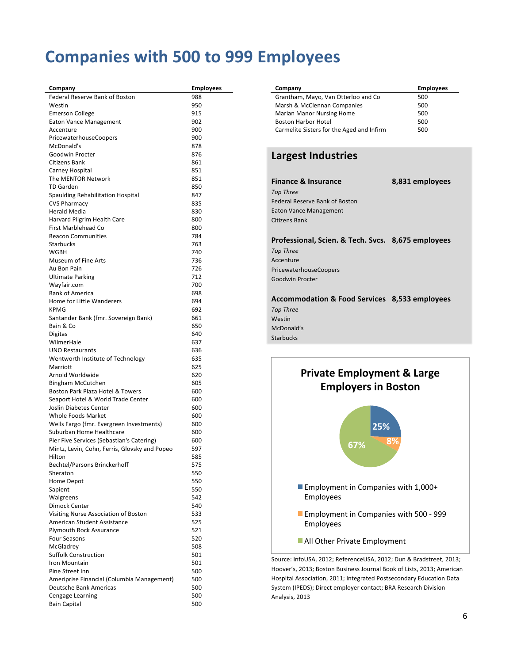#### **Companies with 500 to 999 Employees**

| Company                                                      | <b>Employees</b> |
|--------------------------------------------------------------|------------------|
| Federal Reserve Bank of Boston                               | 988              |
| Westin                                                       | 950              |
| <b>Emerson College</b>                                       | 915              |
| Eaton Vance Management                                       | 902              |
| Accenture                                                    | 900              |
| PricewaterhouseCoopers                                       | 900              |
| McDonald's                                                   | 878              |
| Goodwin Procter                                              | 876              |
| Citizens Bank                                                | 861              |
| Carney Hospital                                              | 851              |
| The MENTOR Network<br><b>TD Garden</b>                       | 851              |
|                                                              | 850              |
| Spaulding Rehabilitation Hospital                            | 847              |
| <b>CVS Pharmacy</b><br><b>Herald Media</b>                   | 835<br>830       |
| Harvard Pilgrim Health Care                                  | 800              |
| First Marblehead Co                                          | 800              |
| <b>Beacon Communities</b>                                    | 784              |
| <b>Starbucks</b>                                             | 763              |
| WGBH                                                         | 740              |
| Museum of Fine Arts                                          | 736              |
| Au Bon Pain                                                  | 726              |
| Ultimate Parking                                             | 712              |
| Wayfair.com                                                  | 700              |
| <b>Bank of America</b>                                       | 698              |
| Home for Little Wanderers                                    | 694              |
| <b>KPMG</b>                                                  | 692              |
| Santander Bank (fmr. Sovereign Bank)                         | 661              |
| Bain & Co                                                    | 650              |
| Digitas                                                      | 640              |
| WilmerHale                                                   | 637              |
| <b>UNO Restaurants</b>                                       | 636              |
| Wentworth Institute of Technology                            | 635              |
| Marriott                                                     | 625              |
| Arnold Worldwide                                             | 620              |
| Bingham McCutchen                                            | 605              |
| Boston Park Plaza Hotel & Towers                             | 600<br>600       |
| Seaport Hotel & World Trade Center<br>Joslin Diabetes Center | 600              |
| <b>Whole Foods Market</b>                                    | 600              |
| Wells Fargo (fmr. Evergreen Investments)                     | 600              |
| Suburban Home Healthcare                                     | 600              |
| Pier Five Services (Sebastian's Catering)                    | 600              |
| Mintz, Levin, Cohn, Ferris, Glovsky and Popeo                | 597              |
| Hilton                                                       | 585              |
| <b>Bechtel/Parsons Brinckerhoff</b>                          | 575              |
| Sheraton                                                     | 550              |
| Home Depot                                                   | 550              |
| Sapient                                                      | 550              |
| Walgreens                                                    | 542              |
| Dimock Center                                                | 540              |
| Visiting Nurse Association of Boston                         | 533              |
| American Student Assistance                                  | 525              |
| <b>Plymouth Rock Assurance</b>                               | 521              |
| <b>Four Seasons</b>                                          | 520              |
| McGladrev                                                    | 508              |
| <b>Suffolk Construction</b>                                  | 501              |
| Iron Mountain                                                | 501              |
| Pine Street Inn                                              | 500              |
| Ameriprise Financial (Columbia Management)                   | 500              |
| <b>Deutsche Bank Americas</b>                                | 500              |
| Cengage Learning                                             | 500              |
| <b>Bain Capital</b>                                          | 500              |

| Company                                   | <b>Employees</b> |
|-------------------------------------------|------------------|
| Grantham, Mayo, Van Otterloo and Co       | 500              |
| Marsh & McClennan Companies               | 500              |
| <b>Marian Manor Nursing Home</b>          | 500              |
| <b>Boston Harbor Hotel</b>                | 500              |
| Carmelite Sisters for the Aged and Infirm | 500              |

#### **Largest Industries**

**Finance!&!Insurance 8,831 employees** *Top(Three* Federal Reserve Bank of Boston Eaton Vance Management Citizens Bank

**Professional,!Scien.!&!Tech.!Svcs. 8,675 employees Top Three** Accenture PricewaterhouseCoopers Goodwin!Procter

#### **Accommodation!&!Food!Services 8,533 employees** *Top(Three* Westin McDonald's Starbucks



Hoover's, 2013; Boston Business Journal Book of Lists, 2013; American Hospital Association, 2011; Integrated Postsecondary Education Data System (IPEDS); Direct employer contact; BRA Research Division Analysis, 2013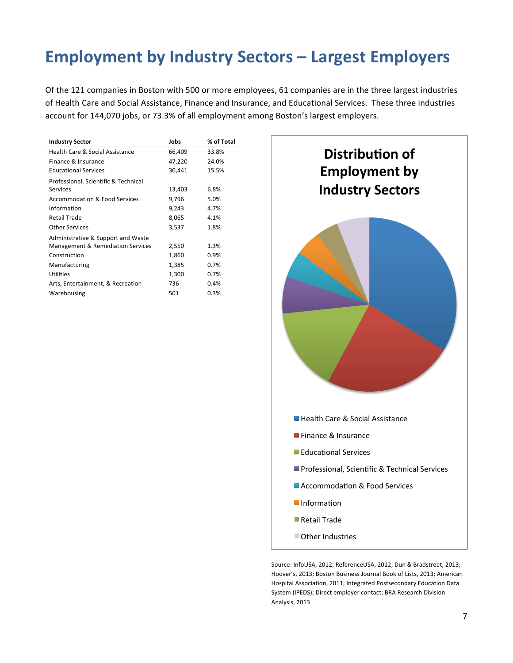## **Employment by Industry Sectors – Largest Employers**

Of the 121 companies in Boston with 500 or more employees, 61 companies are in the three largest industries of Health Care and Social Assistance, Finance and Insurance, and Educational Services. These three industries account for 144,070 jobs, or 73.3% of all employment among Boston's largest employers.

| <b>Industry Sector</b>                   | Jobs   | % of Total |
|------------------------------------------|--------|------------|
| Health Care & Social Assistance          | 66,409 | 33.8%      |
| Finance & Insurance                      | 47,220 | 24.0%      |
| <b>Educational Services</b>              | 30,441 | 15.5%      |
| Professional, Scientific & Technical     |        |            |
| Services                                 | 13,403 | 6.8%       |
| <b>Accommodation &amp; Food Services</b> | 9,796  | 5.0%       |
| Information                              | 9,243  | 4.7%       |
| Retail Trade                             | 8,065  | 4.1%       |
| <b>Other Services</b>                    | 3,537  | 1.8%       |
| Administrative & Support and Waste       |        |            |
| Management & Remediation Services        | 2,550  | 1.3%       |
| Construction                             | 1,860  | 0.9%       |
| Manufacturing                            | 1,385  | 0.7%       |
| <b>Utilities</b>                         | 1,300  | 0.7%       |
| Arts, Entertainment, & Recreation        | 736    | 0.4%       |
| Warehousing                              | 501    | 0.3%       |



Source: InfoUSA, 2012; ReferenceUSA, 2012; Dun & Bradstreet, 2013; Hoover's, 2013; Boston Business Journal Book of Lists, 2013; American Hospital Association, 2011; Integrated Postsecondary Education Data System (IPEDS); Direct employer contact; BRA Research Division Analysis, 2013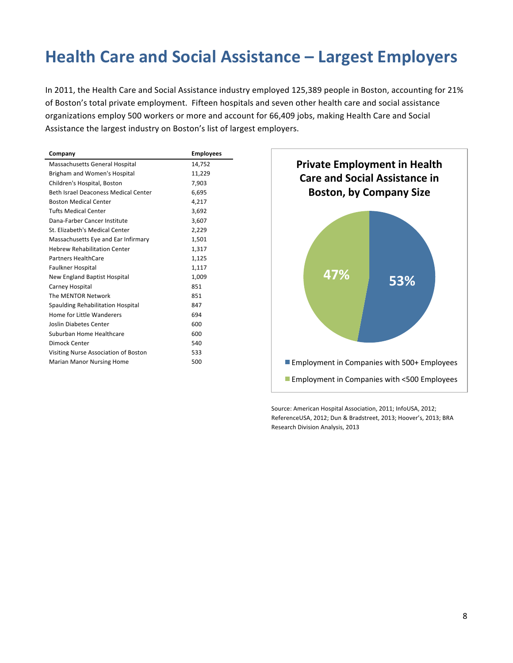## **Health!Care and!Social!Assistance – Largest!Employers**

In 2011, the Health Care and Social Assistance industry employed 125,389 people in Boston, accounting for 21% of Boston's total private employment. Fifteen hospitals and seven other health care and social assistance organizations employ 500 workers or more and account for 66,409 jobs, making Health Care and Social Assistance the largest industry on Boston's list of largest employers.

| Company                              | <b>Employees</b> |
|--------------------------------------|------------------|
| Massachusetts General Hospital       | 14,752           |
| Brigham and Women's Hospital         | 11,229           |
| Children's Hospital, Boston          | 7,903            |
| Beth Israel Deaconess Medical Center | 6,695            |
| <b>Boston Medical Center</b>         | 4,217            |
| <b>Tufts Medical Center</b>          | 3,692            |
| Dana-Farber Cancer Institute         | 3,607            |
| St. Elizabeth's Medical Center       | 2,229            |
| Massachusetts Eye and Ear Infirmary  | 1,501            |
| <b>Hebrew Rehabilitation Center</b>  | 1,317            |
| <b>Partners HealthCare</b>           | 1,125            |
| Faulkner Hospital                    | 1,117            |
| New England Baptist Hospital         | 1,009            |
| Carney Hospital                      | 851              |
| The MENTOR Network                   | 851              |
| Spaulding Rehabilitation Hospital    | 847              |
| Home for Little Wanderers            | 694              |
| <b>Joslin Diabetes Center</b>        | 600              |
| Suburban Home Healthcare             | 600              |
| Dimock Center                        | 540              |
| Visiting Nurse Association of Boston | 533              |
| <b>Marian Manor Nursing Home</b>     | 500              |



Source: American Hospital Association, 2011; InfoUSA, 2012; ReferenceUSA, 2012; Dun & Bradstreet, 2013; Hoover's, 2013; BRA Research Division Analysis, 2013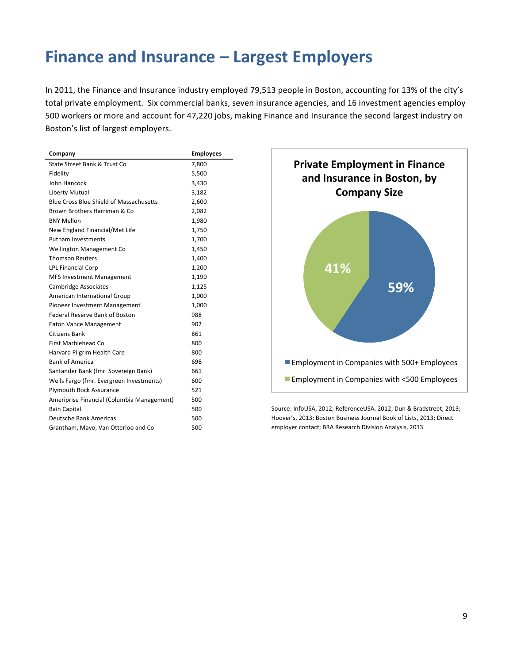## **Finance and Insurance – Largest Employers**

In 2011, the Finance and Insurance industry employed 79,513 people in Boston, accounting for 13% of the city's total private employment. Six commercial banks, seven insurance agencies, and 16 investment agencies employ 500 workers or more and account for 47,220 jobs, making Finance and Insurance the second largest industry on Boston's list of largest employers.

| Company                                        | <b>Employees</b> |
|------------------------------------------------|------------------|
| State Street Bank & Trust Co.                  | 7,800            |
| Fidelity                                       | 5,500            |
| John Hancock                                   | 3,430            |
| Liberty Mutual                                 | 3,182            |
| <b>Blue Cross Blue Shield of Massachusetts</b> | 2,600            |
| Brown Brothers Harriman & Co.                  | 2,082            |
| <b>BNY Mellon</b>                              | 1,980            |
| New England Financial/Met Life                 | 1,750            |
| <b>Putnam Investments</b>                      | 1,700            |
| <b>Wellington Management Co</b>                | 1,450            |
| <b>Thomson Reuters</b>                         | 1,400            |
| <b>LPL Financial Corp</b>                      | 1,200            |
| <b>MFS Investment Management</b>               | 1,190            |
| Cambridge Associates                           | 1,125            |
| American International Group                   | 1,000            |
| Pioneer Investment Management                  | 1,000            |
| <b>Federal Reserve Bank of Boston</b>          | 988              |
| <b>Eaton Vance Management</b>                  | 902              |
| Citizens Bank                                  | 861              |
| First Marblehead Co                            | 800              |
| Harvard Pilgrim Health Care                    | 800              |
| <b>Bank of America</b>                         | 698              |
| Santander Bank (fmr. Sovereign Bank)           | 661              |
| Wells Fargo (fmr. Evergreen Investments)       | 600              |
| <b>Plymouth Rock Assurance</b>                 | 521              |
| Ameriprise Financial (Columbia Management)     | 500              |
| <b>Bain Capital</b>                            | 500              |
| <b>Deutsche Bank Americas</b>                  | 500              |
| Grantham, Mayo, Van Otterloo and Co            | 500              |
|                                                |                  |



Source: InfoUSA, 2012; ReferenceUSA, 2012; Dun & Bradstreet, 2013; Hoover's, 2013; Boston Business Journal Book of Lists, 2013; Direct employer contact; BRA Research Division Analysis, 2013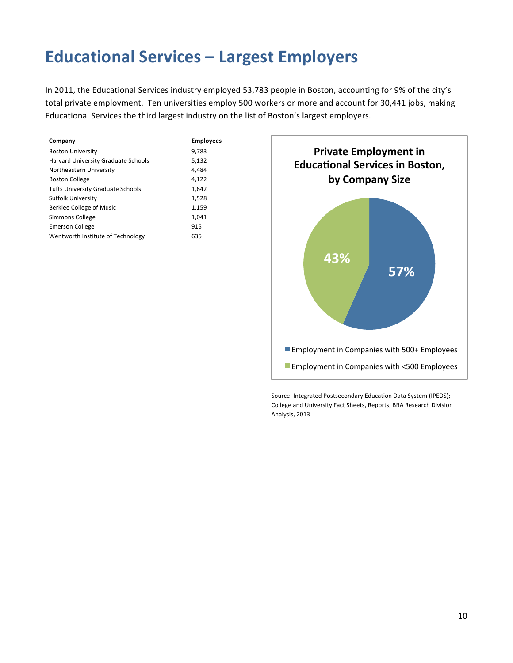## **Educational Services – Largest Employers**

In 2011, the Educational Services industry employed 53,783 people in Boston, accounting for 9% of the city's total private employment. Ten universities employ 500 workers or more and account for 30,441 jobs, making Educational Services the third largest industry on the list of Boston's largest employers.

| Company                                    | <b>Employees</b> |
|--------------------------------------------|------------------|
| <b>Boston University</b>                   | 9,783            |
| <b>Harvard University Graduate Schools</b> | 5,132            |
| Northeastern University                    | 4.484            |
| <b>Boston College</b>                      | 4.122            |
| <b>Tufts University Graduate Schools</b>   | 1,642            |
| Suffolk University                         | 1,528            |
| Berklee College of Music                   | 1,159            |
| Simmons College                            | 1,041            |
| <b>Emerson College</b>                     | 915              |
| Wentworth Institute of Technology          | 635              |



Source: Integrated Postsecondary Education Data System (IPEDS); College and University Fact Sheets, Reports; BRA Research Division Analysis, 2013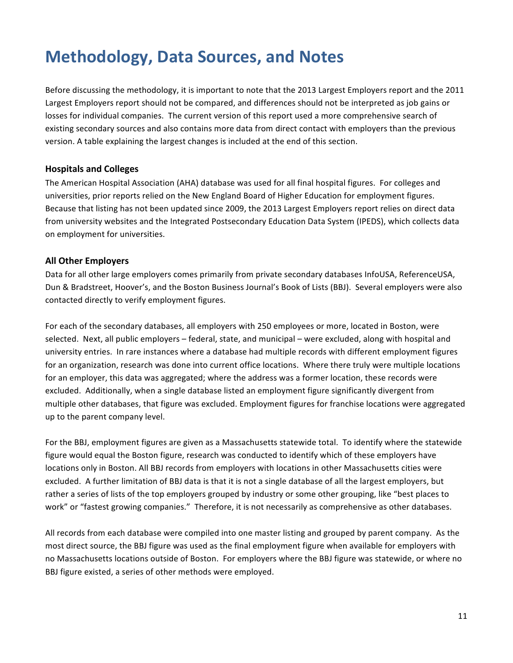## **Methodology, Data Sources, and Notes**

Before discussing the methodology, it is important to note that the 2013 Largest Employers report and the 2011 Largest Employers report should not be compared, and differences should not be interpreted as job gains or losses for individual companies. The current version of this report used a more comprehensive search of existing secondary sources and also contains more data from direct contact with employers than the previous version. A table explaining the largest changes is included at the end of this section.

#### **Hospitals!and!Colleges**

The American Hospital Association (AHA) database was used for all final hospital figures. For colleges and universities, prior reports relied on the New England Board of Higher Education for employment figures. Because that listing has not been updated since 2009, the 2013 Largest Employers report relies on direct data from university websites and the Integrated Postsecondary Education Data System (IPEDS), which collects data on employment for universities.

#### **All!Other!Employers**

Data for all other large employers comes primarily from private secondary databases InfoUSA, ReferenceUSA, Dun & Bradstreet, Hoover's, and the Boston Business Journal's Book of Lists (BBJ). Several employers were also contacted directly to verify employment figures.

For each of the secondary databases, all employers with 250 employees or more, located in Boston, were selected. Next, all public employers – federal, state, and municipal – were excluded, along with hospital and university entries. In rare instances where a database had multiple records with different employment figures for an organization, research was done into current office locations. Where there truly were multiple locations for an employer, this data was aggregated; where the address was a former location, these records were excluded. Additionally, when a single database listed an employment figure significantly divergent from multiple other databases, that figure was excluded. Employment figures for franchise locations were aggregated up to the parent company level.

For the BBJ, employment figures are given as a Massachusetts statewide total. To identify where the statewide figure would equal the Boston figure, research was conducted to identify which of these employers have locations only in Boston. All BBJ records from employers with locations in other Massachusetts cities were excluded. A further limitation of BBJ data is that it is not a single database of all the largest employers, but rather a series of lists of the top employers grouped by industry or some other grouping, like "best places to work" or "fastest growing companies." Therefore, it is not necessarily as comprehensive as other databases.

All records from each database were compiled into one master listing and grouped by parent company. As the most direct source, the BBJ figure was used as the final employment figure when available for employers with no Massachusetts locations outside of Boston. For employers where the BBJ figure was statewide, or where no BBJ figure existed, a series of other methods were employed.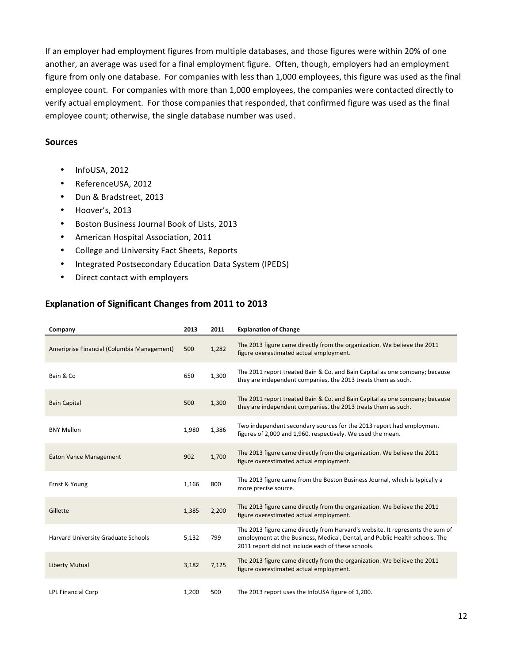If an employer had employment figures from multiple databases, and those figures were within 20% of one another, an average was used for a final employment figure. Often, though, employers had an employment figure from only one database. For companies with less than 1,000 employees, this figure was used as the final employee count. For companies with more than 1,000 employees, the companies were contacted directly to verify actual employment. For those companies that responded, that confirmed figure was used as the final employee count; otherwise, the single database number was used.

#### **Sources**

- $\cdot$  InfoUSA, 2012
- ReferenceUSA, 2012
- Dun & Bradstreet, 2013
- $\bullet$  Hoover's, 2013
- Boston Business Journal Book of Lists, 2013
- American Hospital Association, 2011
- College and University Fact Sheets, Reports
- Integrated Postsecondary Education Data System (IPEDS)
- Direct contact with employers

#### **Explanation of Significant Changes from 2011 to 2013**

| Company                                    | 2013  | 2011  | <b>Explanation of Change</b>                                                                                                                                                                                        |
|--------------------------------------------|-------|-------|---------------------------------------------------------------------------------------------------------------------------------------------------------------------------------------------------------------------|
| Ameriprise Financial (Columbia Management) | 500   | 1,282 | The 2013 figure came directly from the organization. We believe the 2011<br>figure overestimated actual employment.                                                                                                 |
| Bain & Co                                  | 650   | 1,300 | The 2011 report treated Bain & Co. and Bain Capital as one company; because<br>they are independent companies, the 2013 treats them as such.                                                                        |
| <b>Bain Capital</b>                        | 500   | 1,300 | The 2011 report treated Bain & Co. and Bain Capital as one company; because<br>they are independent companies, the 2013 treats them as such.                                                                        |
| <b>BNY Mellon</b>                          | 1,980 | 1,386 | Two independent secondary sources for the 2013 report had employment<br>figures of 2,000 and 1,960, respectively. We used the mean.                                                                                 |
| <b>Eaton Vance Management</b>              | 902   | 1,700 | The 2013 figure came directly from the organization. We believe the 2011<br>figure overestimated actual employment.                                                                                                 |
| Ernst & Young                              | 1,166 | 800   | The 2013 figure came from the Boston Business Journal, which is typically a<br>more precise source.                                                                                                                 |
| Gillette                                   | 1,385 | 2,200 | The 2013 figure came directly from the organization. We believe the 2011<br>figure overestimated actual employment.                                                                                                 |
| Harvard University Graduate Schools        | 5,132 | 799   | The 2013 figure came directly from Harvard's website. It represents the sum of<br>employment at the Business, Medical, Dental, and Public Health schools. The<br>2011 report did not include each of these schools. |
| <b>Liberty Mutual</b>                      | 3,182 | 7,125 | The 2013 figure came directly from the organization. We believe the 2011<br>figure overestimated actual employment.                                                                                                 |
| <b>LPL Financial Corp</b>                  | 1,200 | 500   | The 2013 report uses the InfoUSA figure of 1,200.                                                                                                                                                                   |